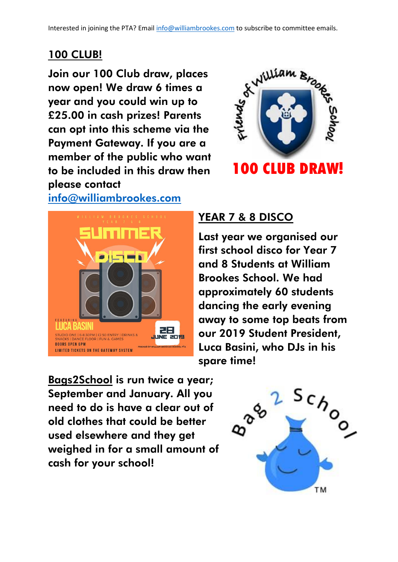### 100 CLUB!

Join our 100 Club draw, places now open! We draw 6 times a year and you could win up to £25.00 in cash prizes! Parents can opt into this scheme via the Payment Gateway. If you are a member of the public who want to be included in this draw then please contact

#### [info@williambrookes.com](mailto:info@williambrookes.com)





# YEAR 7 & 8 DISCO

Last year we organised our first school disco for Year 7 and 8 Students at William Brookes School. We had approximately 60 students dancing the early evening away to some top beats from our 2019 Student President, Luca Basini, who DJs in his spare time!

Bags2School is run twice a year; September and January. All you need to do is have a clear out of old clothes that could be better used elsewhere and they get weighed in for a small amount of cash for your school!